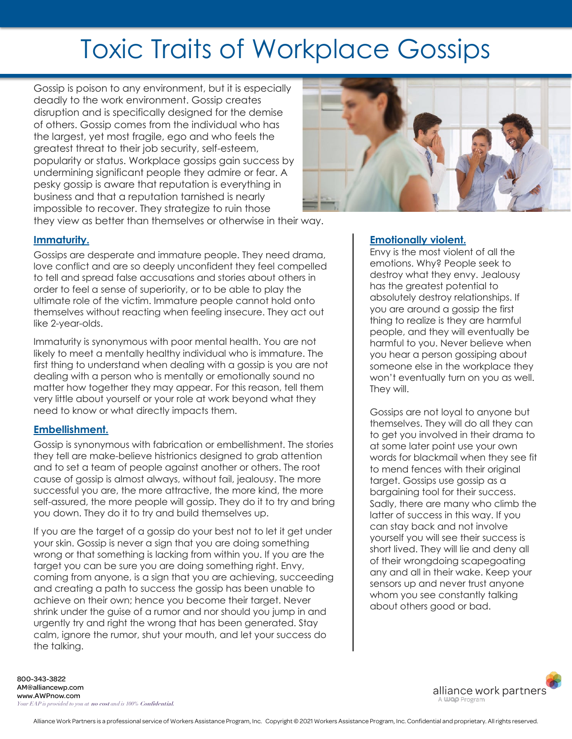# Toxic Traits of Workplace Gossips

Gossip is poison to any environment, but it is especially deadly to the work environment. Gossip creates disruption and is specifically designed for the demise of others. Gossip comes from the individual who has the largest, yet most fragile, ego and who feels the greatest threat to their job security, self-esteem, popularity or status. Workplace gossips gain success by undermining significant people they admire or fear. A pesky gossip is aware that reputation is everything in business and that a reputation tarnished is nearly impossible to recover. They strategize to ruin those they view as better than themselves or otherwise in their way.



## **Immaturity.**

Gossips are desperate and immature people. They need drama, love conflict and are so deeply unconfident they feel compelled to tell and spread false accusations and stories about others in order to feel a sense of superiority, or to be able to play the ultimate role of the victim. Immature people cannot hold onto themselves without reacting when feeling insecure. They act out like 2-year-olds.

Immaturity is synonymous with poor mental health. You are not likely to meet a mentally healthy individual who is immature. The first thing to understand when dealing with a gossip is you are not dealing with a person who is mentally or emotionally sound no matter how together they may appear. For this reason, tell them very little about yourself or your role at work beyond what they need to know or what directly impacts them.

## **Embellishment.**

Gossip is synonymous with fabrication or embellishment. The stories they tell are make-believe histrionics designed to grab attention and to set a team of people against another or others. The root cause of gossip is almost always, without fail, jealousy. The more successful you are, the more attractive, the more kind, the more self-assured, the more people will gossip. They do it to try and bring you down. They do it to try and build themselves up.

If you are the target of a gossip do your best not to let it get under your skin. Gossip is never a sign that you are doing something wrong or that something is lacking from within you. If you are the target you can be sure you are doing something right. Envy, coming from anyone, is a sign that you are achieving, succeeding and creating a path to success the gossip has been unable to achieve on their own; hence you become their target. Never shrink under the guise of a rumor and nor should you jump in and urgently try and right the wrong that has been generated. Stay calm, ignore the rumor, shut your mouth, and let your success do the talking.

# **Emotionally violent.**

Envy is the most violent of all the emotions. Why? People seek to destroy what they envy. Jealousy has the greatest potential to absolutely destroy relationships. If you are around a gossip the first thing to realize is they are harmful people, and they will eventually be harmful to you. Never believe when you hear a person gossiping about someone else in the workplace they won't eventually turn on you as well. They will.

Gossips are not loyal to anyone but themselves. They will do all they can to get you involved in their drama to at some later point use your own words for blackmail when they see fit to mend fences with their original target. Gossips use gossip as a bargaining tool for their success. Sadly, there are many who climb the latter of success in this way. If you can stay back and not involve yourself you will see their success is short lived. They will lie and deny all of their wrongdoing scapegoating any and all in their wake. Keep your sensors up and never trust anyone whom you see constantly talking about others good or bad.



800-343-3822 AM@alliancewp.com www.AWPnow.com *Your EAP is provided to you at* **no cost** *and is 100%* **Confidential.**